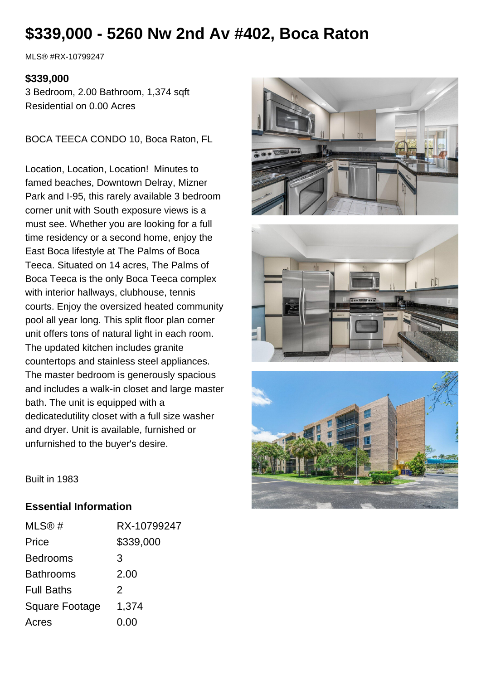# **\$339,000 - 5260 Nw 2nd Av #402, Boca Raton**

MLS® #RX-10799247

#### **\$339,000**

3 Bedroom, 2.00 Bathroom, 1,374 sqft Residential on 0.00 Acres

BOCA TEECA CONDO 10, Boca Raton, FL

Location, Location, Location! Minutes to famed beaches, Downtown Delray, Mizner Park and I-95, this rarely available 3 bedroom corner unit with South exposure views is a must see. Whether you are looking for a full time residency or a second home, enjoy the East Boca lifestyle at The Palms of Boca Teeca. Situated on 14 acres, The Palms of Boca Teeca is the only Boca Teeca complex with interior hallways, clubhouse, tennis courts. Enjoy the oversized heated community pool all year long. This split floor plan corner unit offers tons of natural light in each room. The updated kitchen includes granite countertops and stainless steel appliances. The master bedroom is generously spacious and includes a walk-in closet and large master bath. The unit is equipped with a dedicatedutility closet with a full size washer and dryer. Unit is available, furnished or unfurnished to the buyer's desire.







Built in 1983

#### **Essential Information**

| MLS@#                 | RX-10799247 |
|-----------------------|-------------|
| Price                 | \$339,000   |
| <b>Bedrooms</b>       | 3           |
| <b>Bathrooms</b>      | 2.00        |
| <b>Full Baths</b>     | 2           |
| <b>Square Footage</b> | 1,374       |
| Acres                 | 0.00        |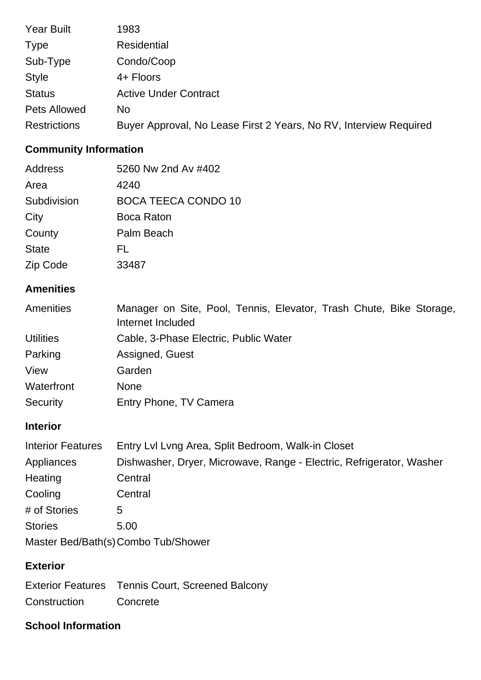| <b>Year Built</b>   | 1983                                                              |
|---------------------|-------------------------------------------------------------------|
| <b>Type</b>         | <b>Residential</b>                                                |
| Sub-Type            | Condo/Coop                                                        |
| <b>Style</b>        | 4+ Floors                                                         |
| <b>Status</b>       | <b>Active Under Contract</b>                                      |
| <b>Pets Allowed</b> | No.                                                               |
| <b>Restrictions</b> | Buyer Approval, No Lease First 2 Years, No RV, Interview Required |

## **Community Information**

| Address      | 5260 Nw 2nd Av #402        |
|--------------|----------------------------|
| Area         | 4240                       |
| Subdivision  | <b>BOCA TEECA CONDO 10</b> |
| City         | <b>Boca Raton</b>          |
| County       | Palm Beach                 |
| <b>State</b> | FL                         |
| Zip Code     | 33487                      |

## **Amenities**

| Amenities        | Manager on Site, Pool, Tennis, Elevator, Trash Chute, Bike Storage,<br>Internet Included |
|------------------|------------------------------------------------------------------------------------------|
| <b>Utilities</b> | Cable, 3-Phase Electric, Public Water                                                    |
| Parking          | Assigned, Guest                                                                          |
| View             | Garden                                                                                   |
| Waterfront       | <b>None</b>                                                                              |
| Security         | Entry Phone, TV Camera                                                                   |

## **Interior**

| <b>Interior Features</b>            | Entry Lvl Lvng Area, Split Bedroom, Walk-in Closet                   |  |
|-------------------------------------|----------------------------------------------------------------------|--|
| Appliances                          | Dishwasher, Dryer, Microwave, Range - Electric, Refrigerator, Washer |  |
| Heating                             | Central                                                              |  |
| Cooling                             | Central                                                              |  |
| # of Stories                        | 5                                                                    |  |
| <b>Stories</b>                      | 5.00                                                                 |  |
| Master Bed/Bath(s) Combo Tub/Shower |                                                                      |  |

### **Exterior**

Exterior Features Tennis Court, Screened Balcony Construction Concrete

## **School Information**